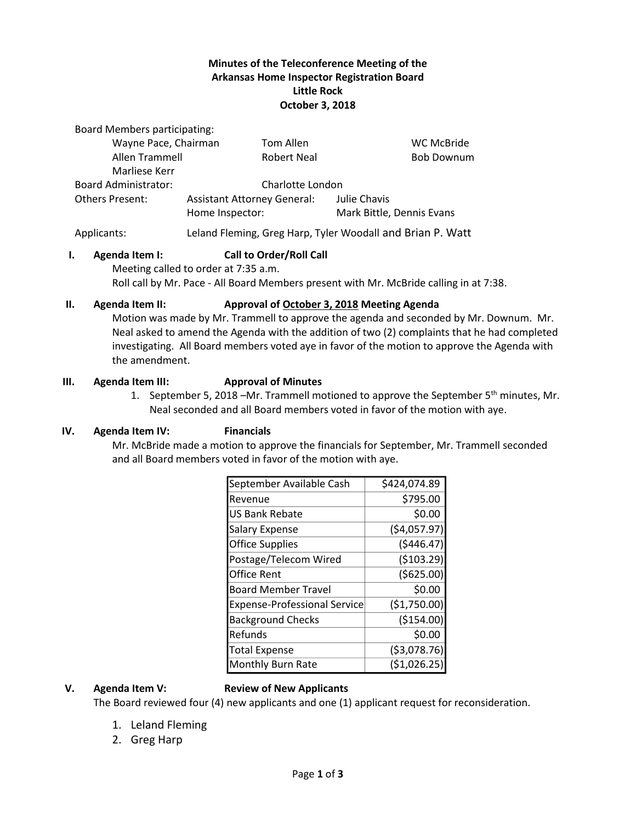## **Minutes of the Teleconference Meeting of the Arkansas Home Inspector Registration Board Little Rock October 3, 2018**

Board Members participating:

| Wayne Pace, Chairman        |                                                       | Tom Allen          |                                           | <b>WC McBride</b> |
|-----------------------------|-------------------------------------------------------|--------------------|-------------------------------------------|-------------------|
| Allen Trammell              |                                                       | <b>Robert Neal</b> |                                           | <b>Bob Downum</b> |
| Marliese Kerr               |                                                       |                    |                                           |                   |
| <b>Board Administrator:</b> | Charlotte London                                      |                    |                                           |                   |
| <b>Others Present:</b>      | <b>Assistant Attorney General:</b><br>Home Inspector: |                    | Julie Chavis<br>Mark Bittle, Dennis Evans |                   |

Applicants: Leland Fleming, Greg Harp, Tyler Woodall and Brian P. Watt

### **I. Agenda Item I: Call to Order/Roll Call**

Meeting called to order at 7:35 a.m. Roll call by Mr. Pace - All Board Members present with Mr. McBride calling in at 7:38.

## **II. Agenda Item II: Approval of October 3, 2018 Meeting Agenda**

Motion was made by Mr. Trammell to approve the agenda and seconded by Mr. Downum. Mr. Neal asked to amend the Agenda with the addition of two (2) complaints that he had completed investigating. All Board members voted aye in favor of the motion to approve the Agenda with the amendment.

### **III. Agenda Item III: Approval of Minutes**

1. September 5, 2018 –Mr. Trammell motioned to approve the September  $5<sup>th</sup>$  minutes, Mr. Neal seconded and all Board members voted in favor of the motion with aye.

## **IV. Agenda Item IV: Financials**

Mr. McBride made a motion to approve the financials for September, Mr. Trammell seconded and all Board members voted in favor of the motion with aye.

| September Available Cash            | \$424,074.89  |  |
|-------------------------------------|---------------|--|
| Revenue                             | \$795.00      |  |
| US Bank Rebate                      | \$0.00        |  |
| <b>Salary Expense</b>               | (54,057.97)   |  |
| <b>Office Supplies</b>              | (5446.47)     |  |
| Postage/Telecom Wired               | ( \$103.29)   |  |
| Office Rent                         | (5625.00)     |  |
| <b>Board Member Travel</b>          | \$0.00        |  |
| <b>Expense-Professional Service</b> | (\$1,750.00)  |  |
| <b>Background Checks</b>            | (\$154.00)    |  |
| Refunds                             | \$0.00        |  |
| <b>Total Expense</b>                | ( \$3,078.76) |  |
| <b>Monthly Burn Rate</b>            | (\$1,026.25   |  |

### **V. Agenda Item V: Review of New Applicants**

The Board reviewed four (4) new applicants and one (1) applicant request for reconsideration.

- 1. Leland Fleming
- 2. Greg Harp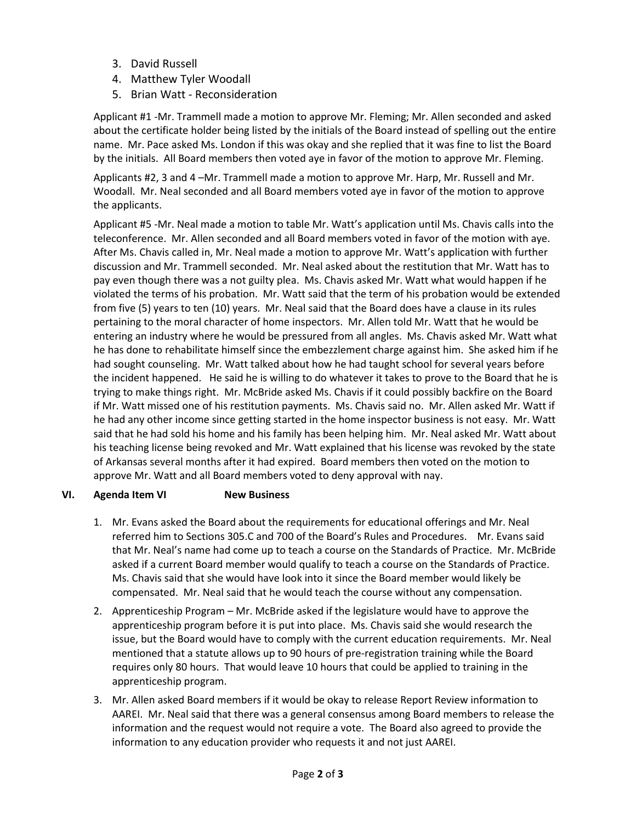- 3. David Russell
- 4. Matthew Tyler Woodall
- 5. Brian Watt Reconsideration

Applicant #1 -Mr. Trammell made a motion to approve Mr. Fleming; Mr. Allen seconded and asked about the certificate holder being listed by the initials of the Board instead of spelling out the entire name. Mr. Pace asked Ms. London if this was okay and she replied that it was fine to list the Board by the initials. All Board members then voted aye in favor of the motion to approve Mr. Fleming.

Applicants #2, 3 and 4 –Mr. Trammell made a motion to approve Mr. Harp, Mr. Russell and Mr. Woodall. Mr. Neal seconded and all Board members voted aye in favor of the motion to approve the applicants.

Applicant #5 -Mr. Neal made a motion to table Mr. Watt's application until Ms. Chavis calls into the teleconference. Mr. Allen seconded and all Board members voted in favor of the motion with aye. After Ms. Chavis called in, Mr. Neal made a motion to approve Mr. Watt's application with further discussion and Mr. Trammell seconded. Mr. Neal asked about the restitution that Mr. Watt has to pay even though there was a not guilty plea. Ms. Chavis asked Mr. Watt what would happen if he violated the terms of his probation. Mr. Watt said that the term of his probation would be extended from five (5) years to ten (10) years. Mr. Neal said that the Board does have a clause in its rules pertaining to the moral character of home inspectors. Mr. Allen told Mr. Watt that he would be entering an industry where he would be pressured from all angles. Ms. Chavis asked Mr. Watt what he has done to rehabilitate himself since the embezzlement charge against him. She asked him if he had sought counseling. Mr. Watt talked about how he had taught school for several years before the incident happened. He said he is willing to do whatever it takes to prove to the Board that he is trying to make things right. Mr. McBride asked Ms. Chavis if it could possibly backfire on the Board if Mr. Watt missed one of his restitution payments. Ms. Chavis said no. Mr. Allen asked Mr. Watt if he had any other income since getting started in the home inspector business is not easy. Mr. Watt said that he had sold his home and his family has been helping him. Mr. Neal asked Mr. Watt about his teaching license being revoked and Mr. Watt explained that his license was revoked by the state of Arkansas several months after it had expired. Board members then voted on the motion to approve Mr. Watt and all Board members voted to deny approval with nay.

# **VI. Agenda Item VI New Business**

- 1. Mr. Evans asked the Board about the requirements for educational offerings and Mr. Neal referred him to Sections 305.C and 700 of the Board's Rules and Procedures. Mr. Evans said that Mr. Neal's name had come up to teach a course on the Standards of Practice. Mr. McBride asked if a current Board member would qualify to teach a course on the Standards of Practice. Ms. Chavis said that she would have look into it since the Board member would likely be compensated. Mr. Neal said that he would teach the course without any compensation.
- 2. Apprenticeship Program Mr. McBride asked if the legislature would have to approve the apprenticeship program before it is put into place. Ms. Chavis said she would research the issue, but the Board would have to comply with the current education requirements. Mr. Neal mentioned that a statute allows up to 90 hours of pre-registration training while the Board requires only 80 hours. That would leave 10 hours that could be applied to training in the apprenticeship program.
- 3. Mr. Allen asked Board members if it would be okay to release Report Review information to AAREI. Mr. Neal said that there was a general consensus among Board members to release the information and the request would not require a vote. The Board also agreed to provide the information to any education provider who requests it and not just AAREI.